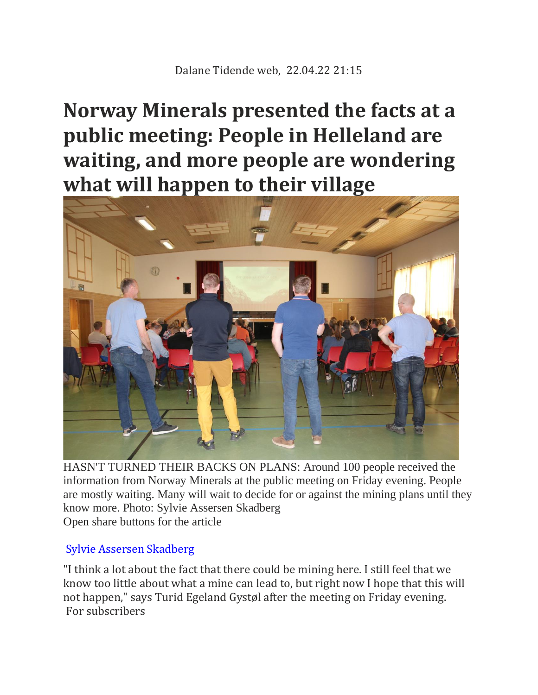## **Norway Minerals presented the facts at a public meeting: People in Helleland are waiting, and more people are wondering what will happen to their village**



HASN'T TURNED THEIR BACKS ON PLANS: Around 100 people received the information from Norway Minerals at the public meeting on Friday evening. People are mostly waiting. Many will wait to decide for or against the mining plans until they know more. Photo: Sylvie Assersen Skadberg Open share buttons for the article

## [Sylvie Assersen Skadberg](mailto:sylvie.skadberg@dalane-tidende.no)

"I think a lot about the fact that there could be mining here. I still feel that we know too little about what a mine can lead to, but right now I hope that this will not happen," says Turid Egeland Gystøl after the meeting on Friday evening. For subscribers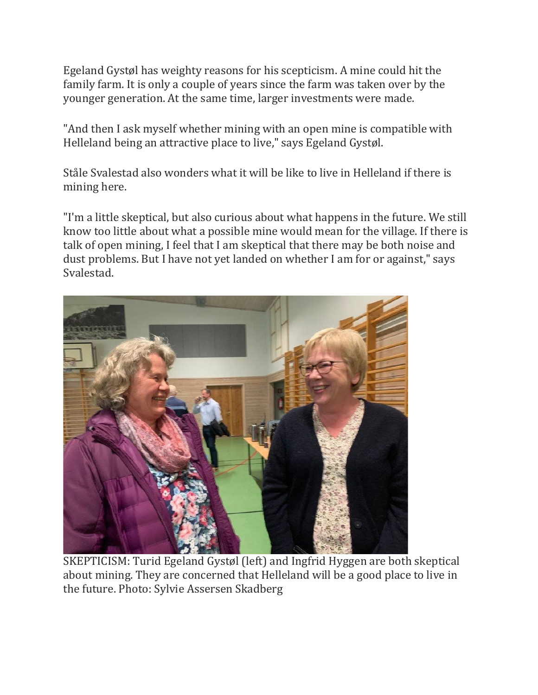Egeland Gystøl has weighty reasons for his scepticism. A mine could hit the family farm. It is only a couple of years since the farm was taken over by the younger generation. At the same time, larger investments were made.

"And then I ask myself whether mining with an open mine is compatible with Helleland being an attractive place to live," says Egeland Gystøl.

Ståle Svalestad also wonders what it will be like to live in Helleland if there is mining here.

"I'm a little skeptical, but also curious about what happens in the future. We still know too little about what a possible mine would mean for the village. If there is talk of open mining, I feel that I am skeptical that there may be both noise and dust problems. But I have not yet landed on whether I am for or against," says Svalestad.



SKEPTICISM: Turid Egeland Gystøl (left) and Ingfrid Hyggen are both skeptical about mining. They are concerned that Helleland will be a good place to live in the future. Photo: Sylvie Assersen Skadberg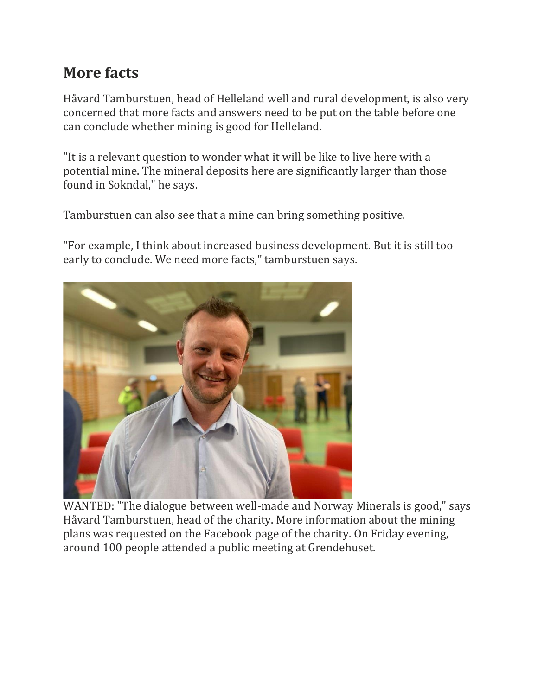## **More facts**

Håvard Tamburstuen, head of Helleland well and rural development, is also very concerned that more facts and answers need to be put on the table before one can conclude whether mining is good for Helleland.

"It is a relevant question to wonder what it will be like to live here with a potential mine. The mineral deposits here are significantly larger than those found in Sokndal," he says.

Tamburstuen can also see that a mine can bring something positive.

"For example, I think about increased business development. But it is still too early to conclude. We need more facts," tamburstuen says.



WANTED: "The dialogue between well-made and Norway Minerals is good," says Håvard Tamburstuen, head of the charity. More information about the mining plans was requested on the Facebook page of the charity. On Friday evening, around 100 people attended a public meeting at Grendehuset.